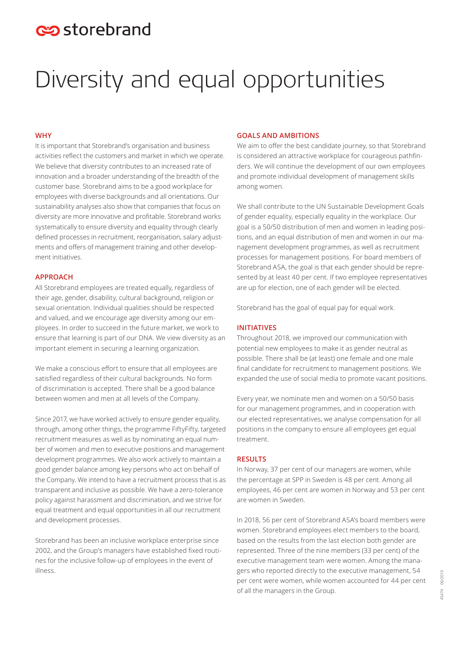## estorebrand

# Diversity and equal opportunities

#### **WHY**

It is important that Storebrand's organisation and business activities reflect the customers and market in which we operate. We believe that diversity contributes to an increased rate of innovation and a broader understanding of the breadth of the customer base. Storebrand aims to be a good workplace for employees with diverse backgrounds and all orientations. Our sustainability analyses also show that companies that focus on diversity are more innovative and profitable. Storebrand works systematically to ensure diversity and equality through clearly defined processes in recruitment, reorganisation, salary adjustments and offers of management training and other development initiatives.

#### **APPROACH**

All Storebrand employees are treated equally, regardless of their age, gender, disability, cultural background, religion or sexual orientation. Individual qualities should be respected and valued, and we encourage age diversity among our employees. In order to succeed in the future market, we work to ensure that learning is part of our DNA. We view diversity as an important element in securing a learning organization.

We make a conscious effort to ensure that all employees are satisfied regardless of their cultural backgrounds. No form of discrimination is accepted. There shall be a good balance between women and men at all levels of the Company.

Since 2017, we have worked actively to ensure gender equality, through, among other things, the programme FiftyFifty, targeted recruitment measures as well as by nominating an equal number of women and men to executive positions and management development programmes. We also work actively to maintain a good gender balance among key persons who act on behalf of the Company. We intend to have a recruitment process that is as transparent and inclusive as possible. We have a zero-tolerance policy against harassment and discrimination, and we strive for equal treatment and equal opportunities in all our recruitment and development processes.

Storebrand has been an inclusive workplace enterprise since 2002, and the Group's managers have established fixed routines for the inclusive follow-up of employees in the event of illness.

#### **GOALS AND AMBITIONS**

We aim to offer the best candidate journey, so that Storebrand is considered an attractive workplace for courageous pathfinders. We will continue the development of our own employees and promote individual development of management skills among women.

We shall contribute to the UN Sustainable Development Goals of gender equality, especially equality in the workplace. Our goal is a 50/50 distribution of men and women in leading positions, and an equal distribution of men and women in our management development programmes, as well as recruitment processes for management positions. For board members of Storebrand ASA, the goal is that each gender should be represented by at least 40 per cent. If two employee representatives are up for election, one of each gender will be elected.

Storebrand has the goal of equal pay for equal work.

#### **INITIATIVES**

Throughout 2018, we improved our communication with potential new employees to make it as gender neutral as possible. There shall be (at least) one female and one male final candidate for recruitment to management positions. We expanded the use of social media to promote vacant positions.

Every year, we nominate men and women on a 50/50 basis for our management programmes, and in cooperation with our elected representatives, we analyse compensation for all positions in the company to ensure all employees get equal treatment.

#### **RESULTS**

In Norway, 37 per cent of our managers are women, while the percentage at SPP in Sweden is 48 per cent. Among all employees, 46 per cent are women in Norway and 53 per cent are women in Sweden.

In 2018, 56 per cent of Storebrand ASA's board members were women. Storebrand employees elect members to the board, based on the results from the last election both gender are represented. Three of the nine members (33 per cent) of the executive management team were women. Among the managers who reported directly to the executive management, 54 per cent were women, while women accounted for 44 per cent of all the managers in the Group.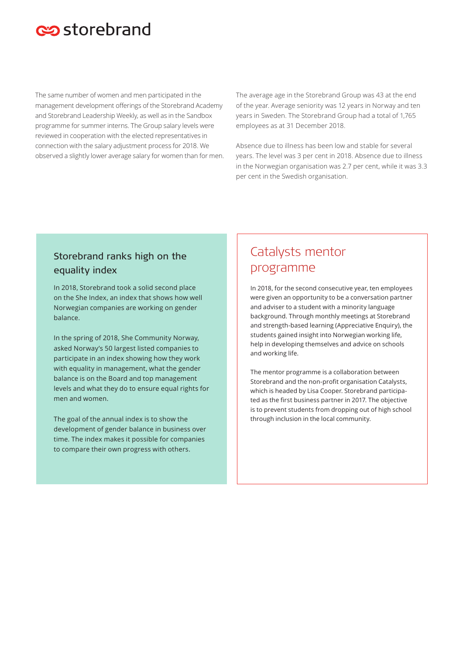## estorebrand

The same number of women and men participated in the management development offerings of the Storebrand Academy and Storebrand Leadership Weekly, as well as in the Sandbox programme for summer interns. The Group salary levels were reviewed in cooperation with the elected representatives in connection with the salary adjustment process for 2018. We observed a slightly lower average salary for women than for men. The average age in the Storebrand Group was 43 at the end of the year. Average seniority was 12 years in Norway and ten years in Sweden. The Storebrand Group had a total of 1,765 employees as at 31 December 2018.

Absence due to illness has been low and stable for several years. The level was 3 per cent in 2018. Absence due to illness in the Norwegian organisation was 2.7 per cent, while it was 3.3 per cent in the Swedish organisation.

### Storebrand ranks high on the equality index

In 2018, Storebrand took a solid second place on the She Index, an index that shows how well Norwegian companies are working on gender balance.

In the spring of 2018, She Community Norway, asked Norway's 50 largest listed companies to participate in an index showing how they work with equality in management, what the gender balance is on the Board and top management levels and what they do to ensure equal rights for men and women.

The goal of the annual index is to show the development of gender balance in business over time. The index makes it possible for companies to compare their own progress with others.

### Catalysts mentor programme

In 2018, for the second consecutive year, ten employees were given an opportunity to be a conversation partner and adviser to a student with a minority language background. Through monthly meetings at Storebrand and strength-based learning (Appreciative Enquiry), the students gained insight into Norwegian working life, help in developing themselves and advice on schools and working life.

The mentor programme is a collaboration between Storebrand and the non-profit organisation Catalysts, which is headed by Lisa Cooper. Storebrand participated as the first business partner in 2017. The objective is to prevent students from dropping out of high school through inclusion in the local community.